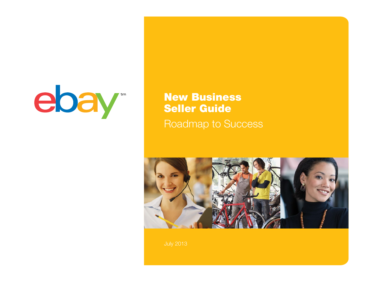

### New Business Seller Guide Roadmap to Success

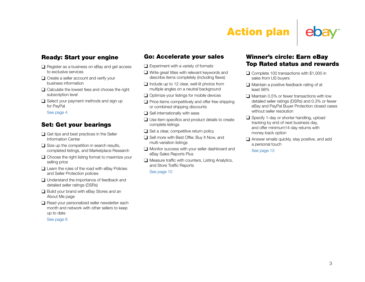# Action plan

### Ready: Start your engine

- $\Box$  Register as a business on eBay and get access to exclusive services
- $\Box$  Create a seller account and verify your business information
- $\Box$  Calculate the lowest fees and choose the right subscription level
- $\Box$  Select your payment methods and sign up for PayPal

[See page 4](#page-3-0)

#### Set: Get your bearings

- $\Box$  Get tips and best practices in the Seller Information Center
- $\Box$  Size up the competition in search results, completed listings, and Marketplace Research
- $\Box$  Choose the right listing format to maximize your selling price
- $\Box$  Learn the rules of the road with eBay Policies and Seller Protection policies
- $\Box$  Understand the importance of feedback and detailed seller ratings (DSRs)
- $\Box$  Build your brand with eBay Stores and an About Me page
- $\Box$  Read your personalized seller newsletter each month and network with other sellers to keep up to date

[See page 6](#page-5-0)

#### Go: Accelerate your sales

- $\Box$  Experiment with a variety of formats
- $\Box$  Write great titles with relevant keywords and describe items completely (including flaws)
- $\Box$  Include up to 12 clear, well-lit photos from multiple angles on a neutral background
- $\Box$  Optimize your listings for mobile devices
- $\Box$  Price items competitively and offer free shipping or combined shipping discounts
- $\Box$  Sell internationally with ease
- $\Box$  Use item specifics and product details to create complete listings
- $\Box$  Set a clear, competitive return policy
- $\Box$  Sell more with Best Offer, Buy It Now, and multi-variation listings
- $\Box$  Monitor success with your seller dashboard and eBay Sales Reports Plus
- $\Box$  Measure traffic with counters, Listing Analytics, and Store Traffic Reports

[See page 10](#page-9-0)

#### Winner's circle: Earn eBay Top Rated status and rewards

- $\Box$  Complete 100 transactions with \$1,000 in sales from US buyers
- $\Box$  Maintain a positive feedback rating of at least 98%
- $\Box$  Maintain 0.5% or fewer transactions with low detailed seller ratings (DSRs) and 0.3% or fewer eBay and PayPal Buyer Protection closed cases without seller resolution
- $\Box$  Specify 1-day or shorter handling, upload tracking by end of next business day, and offer minimum14-day returns with money-back option
- $\Box$  Answer emails quickly, stay positive, and add a personal touch

[See page 13](#page-12-0)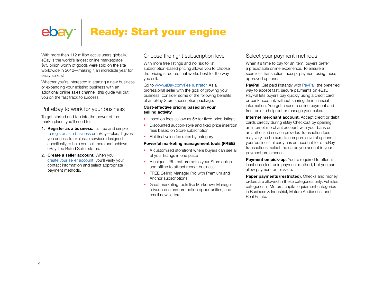### <span id="page-3-0"></span>Ready: Start your engineebay<sup>®</sup>

With more than 112 million active users globally, eBay is the world's largest online marketplace. \$75 billion worth of goods were sold on the site worldwide in 2012—making it an incredible year for eBay sellers!

Whether you're interested in starting a new business or expanding your existing business with an additional online sales channel, this guide will put you on the fast track to success.

#### Put eBay to work for your business

To get started and tap into the power of the marketplace, you'll need to:

- 1. **Register as a business.** It's free and simple to [register as a business](https://scgi.ebay.com/ws/eBayISAPI.dll?RegisterEnterInfo&bizflow=2) on eBay—plus, it gives you access to exclusive services designed specifically to help you sell more and achieve eBay Top Rated Seller status.
- 2. **Create a seller account.** When you [create your seller account,](https://scgi.ebay.com/ws/eBayISAPI.dll?RegisterEnterInfo&bizflow=2) you'll verify your contact information and select appropriate payment methods.

#### Choose the right subscription level

With more free listings and no risk to list, subscription-based pricing allows you to choose the pricing structure that works best for the way you sell.

Go to [www.eBay.com/FeeIllustrator.](http://www.eBay.com/FeeIllustrator) As a professional seller with the goal of growing your business, consider some of the following benefits of an eBay Store subscription package:

#### **Cost-effective pricing based on your selling activity**

- Insertion fees as low as 5¢ for fixed price listings
- Discounted auction-style and fixed price insertion fees based on Store subscription
- Flat final value fee rates by category

#### **Powerful marketing management tools (FREE)**

- A customized storefront where buyers can see all of your listings in one place
- A unique URL that promotes your Store online and offline to attract repeat business
- FREE Selling Manager Pro with Premium and Anchor subscriptions
- Great marketing tools like Markdown Manager, advanced cross-promotion opportunities, and email newsletters

#### Select your payment methods

When it's time to pay for an item, buyers prefer a predictable online experience. To ensure a seamless transaction, accept payment using these approved options:

**[PayPal](http://pages.ebay.com/paypal/index.html).** Get paid instantly with PayPal, the preferred way to accept fast, secure payments on eBay. PayPal lets buyers pay quickly using a credit card or bank account, without sharing their financial information. You get a secure online payment and free tools to help better manage your sales.

**Internet merchant account.** Accept credit or debit cards directly during eBay Checkout by opening an Internet merchant account with your bank or an authorized service provider. Transaction fees may vary, so be sure to compare several options. If your business already has an account for off-eBay transactions, select the cards you accept in your payment preferences.

**Payment on pick-up.** You're required to offer at least one electronic payment method, but you can allow payment on pick-up.

**Paper payments (restricted).** Checks and money orders are allowed in these categories only: vehicles categories in Motors, capital equipment categories in Business & Industrial, Mature Audiences, and Real Estate.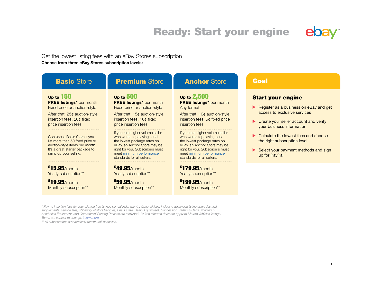### Ready: Start your engine



#### Get the lowest listing fees with an eBay Stores subscription **Choose from three eBay Stores subscription levels:**

| <b>Basic Store</b>                                                                                                                                                                                                                                                                                                                      | <b>Premium Store</b>                                                                                                                                                                                                                                                                                                                                                                            | <b>Anchor Store</b>                                                                                                                                                                                                                                                                                                                                                              | Goal                                                                                                                                                                                                                                                                                                      |
|-----------------------------------------------------------------------------------------------------------------------------------------------------------------------------------------------------------------------------------------------------------------------------------------------------------------------------------------|-------------------------------------------------------------------------------------------------------------------------------------------------------------------------------------------------------------------------------------------------------------------------------------------------------------------------------------------------------------------------------------------------|----------------------------------------------------------------------------------------------------------------------------------------------------------------------------------------------------------------------------------------------------------------------------------------------------------------------------------------------------------------------------------|-----------------------------------------------------------------------------------------------------------------------------------------------------------------------------------------------------------------------------------------------------------------------------------------------------------|
| Up to $150$<br><b>FREE listings*</b> per month<br>Fixed price or auction-style<br>After that, 25¢ auction-style<br>insertion fees, 20¢ fixed<br>price insertion fees<br>Consider a Basic Store if you<br>list more than 50 fixed price or<br>auction-style items per month.<br>It's a great starter package to<br>ramp up your selling. | Up to 500<br><b>FREE listings*</b> per month<br>Fixed price or auction-style<br>After that, 15¢ auction-style<br>insertion fees, 10¢ fixed<br>price insertion fees<br>If you're a higher volume seller<br>who wants top savings and<br>the lowest package rates on<br>eBay, an Anchor Store may be<br>right for you. Subscribers must<br>meet minimum performance<br>standards for all sellers. | Up to $2,500$<br><b>FREE listings*</b> per month<br>Any format<br>After that, 10¢ auction-style<br>insertion fees, 5¢ fixed price<br>insertion fees<br>If you're a higher volume seller<br>who wants top savings and<br>the lowest package rates on<br>eBay, an Anchor Store may be<br>right for you. Subscribers must<br>meet minimum performance<br>standards for all sellers. | <b>Start your engine</b><br>Register as a business on eBay and get<br>access to exclusive services<br>Create your seller account and verify<br>your business information<br>Calculate the lowest fees and choose<br>the right subscription level<br>Select your payment methods and sign<br>up for PayPal |
| $$15.95/m$ onth<br>Yearly subscription**<br>\$19.95/month<br>Monthly subscription**                                                                                                                                                                                                                                                     | \$49.95/month<br>Yearly subscription**<br>\$59.95/month<br>Monthly subscription**                                                                                                                                                                                                                                                                                                               | \$179.95/month<br>Yearly subscription**<br>$$199.95/$ month<br>Monthly subscription**                                                                                                                                                                                                                                                                                            |                                                                                                                                                                                                                                                                                                           |

*\* Pay no insertion fees for your allotted free listings per calendar month. Optional fees, including advanced listing upgrades and supplemental service fees, still apply. Motors Vehicles, Real Estate, Heavy Equipment, Concession Trailers & Carts, Imaging & Aesthetics Equipment, and Commercial Printing Presses are excluded. 12 free pictures does not apply to Motors Vehicles listings. Terms are subject to change. [Learn more](http://pages.ebay.com/sellerinformation/news/springupdate2013/springfeesimplification.html).*

*\*\* All subscriptions automatically renew until cancelled.*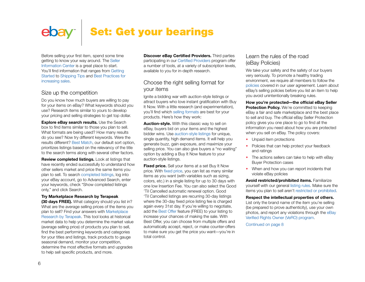# <span id="page-5-0"></span>ebay | Set: Get your bearings

Before selling your first item, spend some time getting to know your way around. The [Seller](http://pages.ebay.com/sellerinformation/index.html)  [Information Center](http://pages.ebay.com/sellerinformation/index.html) is a great place to start. You'll find information that ranges from [Getting](http://pages.ebay.com/sellerinformation/howtosell/sellingbasics.html)  [Started](http://pages.ebay.com/sellerinformation/howtosell/sellingbasics.html) to [Shipping Tips](http://pages.ebay.com/sellerinformation/shipping/basics.html) and [Best Practices for](http://pages.ebay.com/sellerinformation/increaseyoursales/essentials.html)  [increasing sales](http://pages.ebay.com/sellerinformation/increaseyoursales/essentials.html).

#### Size up the competition

Do you know how much buyers are willing to pay for your items on eBay? What keywords should you use? Research items similar to yours to develop your pricing and selling strategies to get top dollar.

**Explore eBay search results.** Use the Search box to find items similar to those you plan to sell. What formats are being used? How many results do you see? Now try different keywords. Were the results different? [Best Match](http://pages.ebay.com/help/sell/searchstanding.html), our default sort option, prioritizes listings based on the relevancy of the title to the search terms along with several other factors.

**Review completed listings.** Look at listings that have recently ended successfully to understand how other sellers market and price the same items you plan to sell. To search [completed listings](http://pages.ebay.com/help/search/questions/search-completed-listings.html), log into your eBay account, go to Advanced Search, enter your keywords, check "Show completed listings only," and click Search.

**Try Marketplace Research by Terapeak (30 days FREE).** What category should you list in? What are the average selling prices of the items you plan to sell? Find your answers with [Marketplace](http://pages.ebay.com/marketplace_research/index.html)  [Research by Terapeak](http://pages.ebay.com/marketplace_research/index.html). This tool looks at historical market data to help you determine the market value (average selling price) of products you plan to sell, find the best performing keywords and categories for your titles and listings, track products to gauge seasonal demand, monitor your competition, determine the most effective formats and upgrades to help sell specific products, and more.

**Discover eBay Certified Providers.** Third parties participating in our [Certified Providers](http://certifiedprovider.ebay.com/) program offer a number of tools, at a variety of subscription levels, available to you for in-depth research.

#### Choose the right selling format for your items

Ignite a bidding war with auction-style listings or attract buyers who love instant gratification with Buy It Now. With a little research (and experimentation), you'll find which [selling formats](http://pages.ebay.com/help/sell/formats.html) are best for your products. Here's how they work:

**Auction-style.** With this classic way to sell on eBay, buyers bid on your items and the highest bidder wins. Use [auction-style listings](http://pages.ebay.com/help/sell/formats.html#auction) for unique, single quantity, high demand items. It will help you generate buzz, gain exposure, and maximize your selling price. You can also give buyers a "no waiting" option by adding a Buy It Now feature to your auction-style listings.

**Fixed price.** Sell your items at a set Buy It Now price. With [fixed price](http://pages.ebay.com/help/sell/formats.html#fixed), you can list as many similar items as you want (with variables such as sizing, colors, etc.) in a single listing for up to 30 days with one low Insertion Fee. You can also select the Good 'Til Cancelled automatic renewal option. Good 'Til Cancelled listings are recurring 30-day listings where the 30-day fixed price listing fee is charged again every 31st day. If you're willing to negotiate, add the [Best Offer](http://pages.ebay.com/help/sell/best-offer.html) feature (FREE) to your listing to increase your chances of making the sale. With Best Offer, you can choose from multiple offers and automatically accept, reject, or make counter-offers to make sure you get the price you want—you're in total control.

#### Learn the rules of the road (eBay Policies)

We take your safety and the safety of our buyers very seriously. To promote a healthy trading environment, we require all members to follow the [policies](http://pages.ebay.com/help/policies/overview.html) covered in our user agreement. Learn about eBay's selling policies before you list an item to help you avoid unintentionally breaking rules.

**How you're protected—the official eBay Seller Protection Policy.** We're committed to keeping eBay a fair and safe marketplace and the best place to sell and buy. The official eBay Seller Protection policy gives you one place to go to find all the information you need about how you are protected when you sell on eBay. The policy covers:

- Unpaid item protections
- Policies that can help protect your feedback and ratings
- The actions sellers can take to help with eBay Buyer Protection cases
- When and how you can report incidents that violate eBay policies

**Avoid restricted/prohibited items.** Familiarize yourself with our general [listing rules.](http://pages.ebay.com/help/policies/listing-ov.html) Make sure the items you plan to sell aren't [restricted or prohibited](http://pages.ebay.com/help/policies/items-ov.html).

**Respect the intellectual properties of others.** List only the brand name of the item you're selling (be prepared to prove authenticity), use your own photos, and report any violations through the [eBay](http://pages.ebay.com/help/tp/programs-vero-ov.html)  [Verified Rights Owner \(VeRO\) program.](http://pages.ebay.com/help/tp/programs-vero-ov.html)

[Continued on page 8](#page-7-0)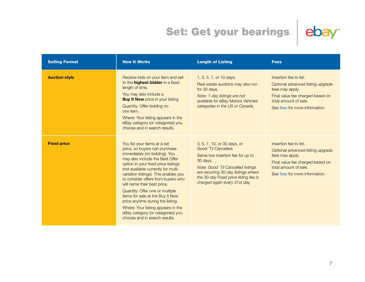# Set: Get your bearings ebay



| <b>Selling Format</b> | <b>How It Works</b>                                                                                                                                                                                                                                                                                                                                                                                                                                                                                                                                   | <b>Length of Listing</b>                                                                                                                                                                                                                                   | <b>Fees</b>                                                                                                                                                                   |
|-----------------------|-------------------------------------------------------------------------------------------------------------------------------------------------------------------------------------------------------------------------------------------------------------------------------------------------------------------------------------------------------------------------------------------------------------------------------------------------------------------------------------------------------------------------------------------------------|------------------------------------------------------------------------------------------------------------------------------------------------------------------------------------------------------------------------------------------------------------|-------------------------------------------------------------------------------------------------------------------------------------------------------------------------------|
| <b>Auction-style</b>  | Receive bids on your item and sell<br>to the <b>highest bidder</b> in a fixed<br>length of time.<br>You may also include a<br><b>Buy It Now</b> price in your listing.<br>Quantity: Offer bidding on<br>one item.<br>Where: Your listing appears in the<br>eBay category (or categories) you<br>choose and in search results.                                                                                                                                                                                                                         | 1, 3, 5, 7, or 10 days.<br>Real estate auctions may also run<br>for 30 days.<br>Note: 1-day listings are not<br>available for eBay Motors Vehicles<br>categories in the US or Canada.                                                                      | Insertion fee to list.<br>Optional advanced listing upgrade<br>fees may apply.<br>Final value fee charged based on<br>total amount of sale.<br>See fees for more information. |
| <b>Fixed price</b>    | You list your items at a set<br>price, so buyers can purchase<br>immediately (no bidding). You<br>may also include the Best Offer<br>option in your fixed price listings<br>(not available currently for multi-<br>variation listings). This enables you<br>to consider offers from buyers who<br>will name their best price.<br>Quantity: Offer one or multiple<br>items for sale at the Buy It Now<br>price anytime during the listing.<br>Where: Your listing appears in the<br>eBay category (or categories) you<br>choose and in search results. | 3, 5, 7, 10, or 30 days, or<br>Good 'Til Cancelled.<br>Same low insertion fee for up to<br>30 days.<br>Note: Good 'Til Cancelled listings<br>are recurring 30-day listings where<br>the 30-day Fixed price listing fee is<br>charged again every 31st day. | Insertion fee to list.<br>Optional advanced listing upgrade<br>fees may apply.<br>Final value fee charged based on<br>total amount of sale.<br>See fees for more information. |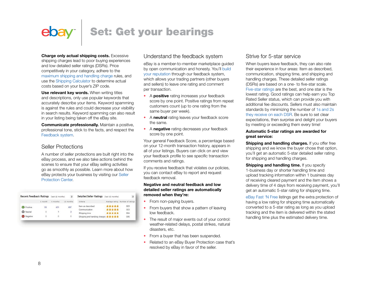### <span id="page-7-0"></span>Set: Get your bearings  $ebay$

**Charge only actual shipping costs.** Excessive shipping charges lead to poor buying experiences

and low detailed seller ratings (DSRs). Price competitively in your category, adhere to the [maximum shipping and handling charge](http://pages.ebay.com/help/policies/selling-practices.html#policy) rules, and use the [Shipping Calculator](http://www.ebay.com/shp/Calculator) to determine actual costs based on your buyer's ZIP code.

**Use relevant key words.** When writing titles and descriptions, only use popular keywords that accurately describe your items. Keyword spamming is against the rules and could decrease your visibility in search results. Keyword spamming can also result in your listing being taken off the eBay site.

**Communicate professionally.** Maintain a positive, professional tone, stick to the facts, and respect the [Feedback system.](http://pages.ebay.com/help/policies/feedback-ov.html)

#### Seller Protections

A number of seller protections are built right into the eBay process, and we also take actions behind the scenes to ensure that your eBay selling activities go as smoothly as possible. Learn more about how eBay protects your business by visiting our [Seller](http://pages.ebay.com/sellerinformation/sellerprotection/sellerprotection.html)  [Protection Center](http://pages.ebay.com/sellerinformation/sellerprotection/sellerprotection.html).

| <b>Recent Feedback Ratings</b> |         | (last 12 months) | $\overline{z}$ | Detailed Seller Ratings (last 12 months) |                | $\overline{\mathbf{z}}$          |
|--------------------------------|---------|------------------|----------------|------------------------------------------|----------------|----------------------------------|
|                                | 1 month | 6 months         | 12 months      | Criteria                                 |                | Average rating Number of ratings |
| Positive                       | 59      | 431              | 697            | Item as described<br>Communication       | *****<br>***** | 503<br>503                       |
| <sup>O</sup> Neutral           | O       | ٦                | 3              | Shipping time                            | *****          | 504                              |
| Negative                       | ö       | ö                | ō              | Shipping and handling charges ★★★★★      |                | 506                              |

#### Understand the feedback system

eBay is a member-to-member marketplace guided by open communication and honesty. You'll [build](http://pages.ebay.com/help/feedback/feedback.html)  [your reputation](http://pages.ebay.com/help/feedback/feedback.html) through our feedback system, which allows your trading partners (other buyers and sellers) to leave one rating and comment per transaction.

- A **positive** rating increases your feedback score by one point. Positive ratings from repeat customers count (up to one rating from the same buyer per week).
- A **neutral** rating leaves your feedback score the same.
- A **negative** rating decreases your feedback score by one point.

Your general Feedback Score, a percentage based on your 12-month transaction history, appears in all of your listings. Buyers can click on and view your feedback profile to see specific transaction comments and ratings.

If you receive feedback that violates our policies, you can contact eBay to report and request feedback removal.

#### **Negative and neutral feedback and low detailed seller ratings are automatically removed when they're:**

- From non-paying buyers.
- From buyers that show a pattern of leaving low feedback.
- The result of major events out of your control: weather-related delays, postal strikes, natural disasters, etc.
- From a buyer that has been suspended.
- Related to an eBay Buyer Protection case that's resolved by eBay in favor of the seller.

#### Strive for 5-star service

When buyers leave feedback, they can also rate their experience in four areas: Item as described, communication, shipping time, and shipping and handling charges. These detailed seller ratings (DSRs) are based on a one- to five-star scale. [Five-star ratings](http://pages.ebay.com/help/feedback/detailed-seller-ratings.html#improving) are the best, and one star is the lowest rating. Good ratings can help earn you Top Rated Seller status, which can provide you with additional fee discounts. Sellers must also maintain standards by minimizing the number of [1s and 2s](http://pages.ebay.com/help/policies/seller-non-performance.html)  [they receive on each DSR.](http://pages.ebay.com/help/policies/seller-non-performance.html) Be sure to set clear expectations, then surprise and delight your buyers by meeting or exceeding them every time!

#### **Automatic 5-star ratings are awarded for great service:**

**Shipping and handling charges.** If you offer free shipping and we know the buyer chose that option, you'll get an automatic 5-star detailed seller rating for shipping and handling charges.

**Shipping and handling time.** If you specify 1-business day or shorter handling time and upload tracking information within 1 business day of receiving cleared payment and the item shows a delivery time of 4 days from receiving payment, you'll get an automatic 5-star rating for shipping time.

[eBay Fast 'N Free](http://pages.ebay.com/help/pay/fast-n-free.html) listings get the extra protection of having a low rating for shipping time automatically converted to a 5-star rating as long as you upload tracking and the item is delivered within the stated handling time plus the estimated delivery time.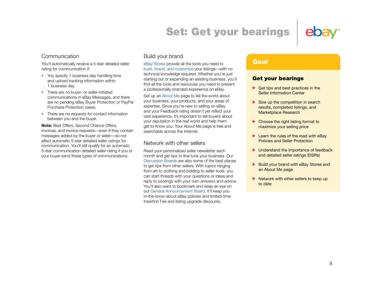### Set: Get your bearings



#### Communication

You'll automatically receive a 5-star detailed seller rating for communication if:

- You specify 1-business day handling time and upload tracking information within 1 business day.
- There are no buyer- or seller-initiated communications in eBay Messages, and there are no pending eBay Buyer Protection or PayPal Purchase Protection cases.
- There are no requests for contact information between you and the buyer.

**Note:** Best Offers, Second Chance Offers, invoices, and invoice requests—even if they contain messages added by the buyer or seller—do not affect automatic 5-star detailed seller ratings for communication. You'll still qualify for an automatic 5-star communication detailed seller rating if you or your buyer send these types of communications.

#### Build your brand

[eBay Stores](http://www.ebay.com/stores) provide all the tools you need to [build, brand, and customize](http://pages.ebay.com/storefronts/Building.html) your listings—with no technical knowledge required. Whether you're just starting out or expanding an existing business, you'll find all the tools and resources you need to present a professionally-branded experience on eBay.

Set up an [About Me](http://pages.ebay.com/help/account/about-me.html) page to tell the world about your business, your products, and your areas of expertise. Since you're new to selling on eBay and your Feedback rating doesn't yet reflect your vast experience, it's important to tell buyers about your reputation in the real world and help them get to know you. Your About Me page is free and searchable across the Internet.

#### Network with other sellers

Read your personalized seller newsletter each month and get tips to fine tune your business. Our [Discussion Boards](http://pages.ebay.com/community/boards/index.html) are also some of the best places to get tips from other sellers. With topics ranging from art to clothing and bidding to seller tools, you can start threads with your questions or ideas and reply to postings with your own answers and advice. You'll also want to bookmark and keep an eye on our [General Announcement Board](http://www2.ebay.com/aw/marketing.shtml). It'll keep you in-the-know about eBay policies and limited-time Insertion Fee and listing upgrade discounts.

#### Goal

#### Get your bearings

- Get tips and best practices in the Seller Information Center
- $\triangleright$  Size up the competition in search results, completed listings, and Marketplace Research
- ▶ Choose the right listing format to maximize your selling price
- $\blacktriangleright$  Learn the rules of the road with eBay Policies and Seller Protection
- **D** Understand the importance of feedback and detailed seller ratings (DSRs)
- Build your brand with eBay Stores and an About Me page
- $\blacktriangleright$  Network with other sellers to keep up to date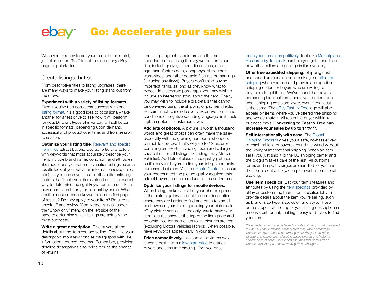### Go: Accelerate your sales

<span id="page-9-0"></span>When you're ready to put your pedal to the metal. just click on the "Sell" link at the top of any eBay page to get started!

#### Create listings that sell

From descriptive titles to listing upgrades, there are many ways to make your listing stand out from the crowd.

#### **Experiment with a variety of listing formats.**

Even if you've had consistent success with one [listing format](http://pages.ebay.com/help/sell/formats.html), it's a good idea to occasionally take another for a test drive to see how it will perform for you. Different types of inventory will sell better in specific formats, depending upon demand, accessibility of product over time, and from season to season.

**Optimize your listing title.** Relevant and specific [item titles](http://pages.ebay.com/help/sell/title_desc_ov.html) attract buyers. Use up to 80 characters with keywords that most accurately describe your item. Include brand name, condition, and attributes like model or style. For multi-variation listings, search results look at your variation information (size, color, etc.), so you can save titles for other differentiating factors that'll help your items stand out. The easiest way to determine the right keywords is to act like a buyer and search for your product by name. What are the most common keywords on the first page of results? Do they apply to your item? Be sure to check off and review "Completed listings" under the "Show only" menu on the left side of the page to determine which listings are actually the most successful.

**Write a great description.** Give buyers all the details about the item you are selling. Organize your description into a few concise paragraphs with like information grouped together. Remember, providing detailed descriptions also helps reduce the chance of returns.

The first paragraph should provide the most important details using the key words from your title, including: size, shape, dimensions, color, age, manufacture date, company/artist/author, warrantees, and other notable features or markings (including any flaws). Buyers don't mind buying imperfect items, as long as they know what to expect. In a separate paragraph, you may wish to include an interesting story about the item. Finally, you may wish to include extra details that cannot be conveyed using the shipping or payment fields. Be careful not to include overly extensive terms and conditions or negative sounding language as it could frighten potential customers away.

**Add lots of photos.** A picture is worth a thousand words and great photos can often make the sale– especially with the growing number of shoppers on mobile devices. That's why up to 12 pictures per listing are FREE, including zoom and enlarge capabilities, on all listings (excluding eBay Motors Vehicles). Add lots of clear, crisp, quality pictures so it's easy for buyers to find your listings and make purchase decisions. Visit our [Photo Center](http://pages.ebay.com/sellerinformation/sellingresources/photocenter.html) to ensure your photos meet the picture quality requirements, attract buyers, and help reduce claims and returns.

#### **Optimize your listings for mobile devices.**

When listing, make sure all of your photos appear in the picture gallery and not the item description where they are harder to find and often too small to showcase your item. Uploading your pictures to eBay picture services is the only way to have your item pictures show at the top of the item page and be optimized for mobile. Up to 12 pictures are free (excluding Motors Vehicles listings). When possible, have keywords appear early in your title.

**Price competitively.** Use auction-style the way it works best—with a [low start price](http://pages.ebay.com/help/sell/starting_price.html) to attract buyers and stimulate bidding. For fixed price,

[price your items competitively](http://pages.ebay.com/help/sell/starting_price.html). Tools like [Marketplace](http://pages.ebay.com/marketplace_research/) [Research by Terapeak](http://pages.ebay.com/marketplace_research/) can help you get a handle on how other sellers are pricing similar inventory.

**Offer free expedited shipping.** Shipping cost and speed are considered in ranking, so [offer free](http://pages.ebay.com/help/pay/questions/free-shipping.html)  [shipping](http://pages.ebay.com/help/pay/questions/free-shipping.html) when you can and provide an expedited shipping option for buyers who are willing to pay more to get it fast. We've found that buyers comparing identical items perceive a better value when shipping costs are lower, even if total cost is the same. The [eBay Fast 'N Free](http://pages.ebay.com/sellerinformation/shipping/shippingnews/fastnfree.html) logo will also appear on items where you've offered free shipping and we estimate it will reach the buyer within 4 business days. **Converting to Fast 'N Free can increase your sales by up to 11%\*\*\*.**

**Sell internationally with ease.** The [Global](http://pages.ebay.com/sellerinformation/shipping/globalshippingprogram.html)  [Shipping Program](http://pages.ebay.com/sellerinformation/shipping/globalshippingprogram.html) gives you a safe, no-hassle way to reach millions of buyers around the world without the worry of international shipping. When an item sells, you just ship it to the US shipping center and the program takes care of the rest. All customs forms and import charges are handled for you and the item is sent quickly, complete with international tracking.

**Use item specifics.** List your item's features and attributes by using the [item specifics](http://pages.ebay.com/help/sell/item_specifics.html) provided by eBay or customizing them. Item specifics let you provide details about the item you're selling, such as brand, size type, size, color, and style. These details appear at the top of your listing description in a consistent format, making it easy for buyers to find your items.

*\*\*\*Percentage calculated is based on sales of listings that converted to Fast 'N Free. Individual seller results may vary. Percentage increase in sales depend on, among other things, item price, inventory, shipping cost, shipping speed offered and historical performance of seller. Calculation assumes that sellers don't increase the item price while making these changes.*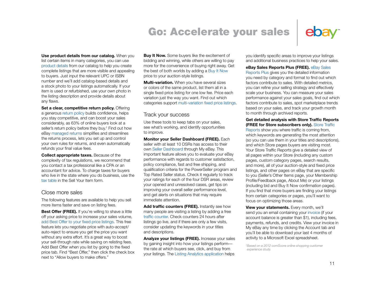### Go: Accelerate your sales



**Use product details from our catalog.** When you

list certain items in many categories, you can use [product details](http://pages.ebay.com/help/sell/product-details.html) from our catalog to help you create complete listings that are more visible and appealing to buyers. Just input the relevant UPC or ISBN number and we'll add catalog-based details and a stock photo to your listings automatically. If your item is used or refurbished, use your own photo in the listing description and provide details about any flaws.

**Set a clear, competitive return policy.** Offering a generous [return policy](http://pages.ebay.com/sellerinformation/sellingresources/returns.html) builds confidence, helps you stay competitive, and can boost your sales considerably, as 63% of online buyers look at a seller's return policy before they buy.† Find out how eBay [managed returns](http://pages.ebay.com/sellerinformation/shipping/managedreturns.html) simplifies and streamlines the returns process, lets you set up and control your own rules for returns, and even automatically refunds your final value fees.

**Collect appropriate taxes.** Because of the complexity of tax regulations, we recommend that you contact a tax professional like a CPA or an accountant for advice. To charge taxes for buyers who live in the state where you do business, use the [tax table](http://pages.ebay.com/help/pay/checkout-tax-table.html) in the Sell Your Item form.

#### Close more sales

The following features are available to help you sell more items faster and save on listing fees.

**Best Offer (FREE).** If you're willing to shave a little off your asking price to increase your sales volume, [add Best Offer to your fixed price listings.](http://pages.ebay.com/help/sell/best-offer.html) This free feature lets you negotiate price with auto-accept/ auto-reject to ensure you get the price you want without any extra effort. It's a great way to boost your sell-through rate while saving on relisting fees. Add Best Offer when you list by going to the fixed price tab. Find "Best Offer," then click the check box next to "Allow buyers to make offers."

**Buy It Now.** Some buyers like the excitement of bidding and winning, while others are willing to pay more for the convenience of buying right away. Get the best of both worlds by adding a [Buy It Now](http://pages.ebay.com/help/sell/fixed-price.html) price to your auction-style listings.

**Multi-variation.** When you have several sizes or colors of the same product, list them all in a single fixed price listing for one low fee. Price each variation just the way you want. Find out which categories support [multi-variation fixed price listings.](http://pages.ebay.com/sellerinformation/growing/variation.html)

#### Track your success

Use these tools to keep tabs on your sales, see what's working, and identify opportunities to improve.

**Monitor your Seller Dashboard (FREE).** Each seller with at least 10 DSRs has access to their own [Seller Dashboard](http://pages.ebay.com/help/sell/seller-dashboard.html) through My eBay. This important feature allows you to evaluate your eBay performance with regards to customer satisfaction, policy compliance, fast and free shipping, and qualification criteria for the PowerSeller program and Top Rated Seller status. Check it regularly to track your ratings for each of the four DSR areas, review your opened and unresolved cases, get tips on improving your overall seller performance level, and get alerts on situations that may require immediate attention.

Add traffic counters (FREE). Instantly see how many people are visiting a listing by adding a free [traffic counter](http://pages.ebay.com/help/sell/counters.html). Check counters 24 hours after listings go live, and if there are only a few visits, consider updating the keywords in your titles and descriptions.

**Analyze your listings (FREE).** Increase your sales by gaining insight into how your listings perform the rate at which buyers see, click, and buy from your listings. The [Listing Analytics application](http://pages.ebay.com/listing_analytics/) helps you identify specific areas to improve your listings and additional business practices to help your sales.

**eBay Sales Reports Plus (FREE).** [eBay Sales](http://pages.ebay.com/salesreports/salesreportsplus.html)  [Reports Plus](http://pages.ebay.com/salesreports/salesreportsplus.html) gives you the detailed information you need by category and format to find out which factors contribute to sales. With detailed metrics, you can refine your selling strategy and effectively scale your business. You can measure your sales performance against your sales goals, find out which factors contribute to sales, spot marketplace trends based on your sales, and track your growth month to month through archived reports.

#### **Get detailed analysis with Store Traffic Reports (FREE for Store subscribers only).** [Store Traffic](http://pages.ebay.com/help/sell/traffic-reports.html)

[Reports](http://pages.ebay.com/help/sell/traffic-reports.html) show you where traffic is coming from, which keywords are generating the most attention (so you can use them in your titles and descriptions), and which Store pages buyers are visiting most. Your Store Traffic Reports give a detailed view of all pages within your Store (including any custom pages, custom category pages, search results, and more), all of your auction-style and fixed price listings, and other pages on eBay that are specific to you (Seller's Other Items page, your Membership Profile/Feedback page, About Me) or your listings (including bid and Buy It Now confirmation pages). If you find that more buyers are finding your listings from certain categories or pages, you'll want to focus on optimizing those areas.

**View your statements.** Every month, we'll send you an email containing your [invoice](http://pages.ebay.com/help/sell/invoice.html) (if your account balance is greater than \$1), including fees, payments, refunds, and credits. View your invoice in My eBay any time by clicking the Account tab and you'll be able to download your last 4 months of activity to a Microsoft Excel spreadsheet.

*† Based on a 2012 comScore online shopping customer experience study.*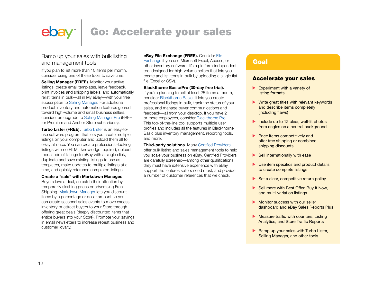### ebay<sup>®</sup>

### Go: Accelerate your sales

#### Ramp up your sales with bulk listing and management tools

If you plan to list more than 10 items per month, consider using one of these tools to save time:

**Selling Manager (FREE).** Monitor your active listings, create email templates, leave feedback, print invoices and shipping labels, and automatically relist items in bulk—all in My eBay—with your free subscription to [Selling Manager.](http://pages.ebay.com/sellerinformation/sellingresources/sellingmanager.html) For additional product inventory and automation features geared toward high-volume and small business sellers, consider an upgrade to [Selling Manager Pro](http://pages.ebay.com/sellerinformation/sellingresources/sellingmanagerpro.html) (FREE for Premium and Anchor Store subscribers).

**Turbo Lister (FREE).** [Turbo Lister](http://pages.ebay.com/sellerinformation/sellingresources/turbolister.html) is an easy-touse software program that lets you create multiple listings on your computer and upload them all to eBay at once. You can create professional-looking listings with no HTML knowledge required, upload thousands of listings to eBay with a single click, duplicate and save existing listings to use as templates, make updates to multiple listings at a time, and quickly reference completed listings.

#### **Create a "sale" with Markdown Manager.**

Buyers love a deal, so catch their attention by temporarily slashing prices or advertising Free Shipping. [Markdown Manager](http://pages.ebay.com/storefronts/managing.html) lets you discount items by a percentage or dollar amount so you can create seasonal sales events to move excess inventory or attract buyers to your Store through offering great deals (deeply discounted items that entice buyers into your Store). Promote your savings in email newsletters to increase repeat business and customer loyalty.

#### **eBay File Exchange (FREE).** Consider [File](http://pages.ebay.com/File_Exchange/)

[Exchange](http://pages.ebay.com/File_Exchange/) if you use Microsoft Excel, Access, or other inventory software. It's a platform-independent tool designed for high-volume sellers that lets you create and list items in bulk by uploading a single flat file (Excel or CSV).

#### **Blackthorne Basic/Pro (30-day free trial).**

If you're planning to sell at least 25 items a month, consider [Blackthorne Basic.](http://pages.ebay.com/blackthorne) It lets you create professional listings in bulk, track the status of your sales, and manage buyer communications and feedback—all from your desktop. If you have 2 or more employees, consider [Blackthorne Pro](http://pages.ebay.com/sellerinformation/sellingresources/blackthornepro.html). This top-of-the-line tool supports multiple user profiles and includes all the features in Blackthorne Basic plus inventory management, reporting tools, and more.

**Third-party solutions.** Many [Certified Providers](http://certifiedprovider.ebay.com/) offer bulk listing and sales management tools to help

you scale your business on eBay. Certified Providers are carefully screened—among other qualifications, they must have extensive experience with eBay, support the features sellers need most, and provide a number of customer references that we check.

#### Goal

#### Accelerate your sales

- $\blacktriangleright$  Experiment with a variety of listing formats
- $\blacktriangleright$  Write great titles with relevant keywords and describe items completely (including flaws)
- Include up to 12 clear, well-lit photos from angles on a neutral background
- $\blacktriangleright$  Price items competitively and offer free shipping or combined shipping discounts
- $\blacktriangleright$  Sell internationally with ease
- ▶ Use item specifics and product details to create complete listings
- $\triangleright$  Set a clear, competitive return policy
- Sell more with Best Offer, Buy It Now, and multi-variation listings
- Monitor success with our seller dashboard and eBay Sales Reports Plus
- Measure traffic with counters, Listing Analytics, and Store Traffic Reports
- Ramp up your sales with Turbo Lister, Selling Manager, and other tools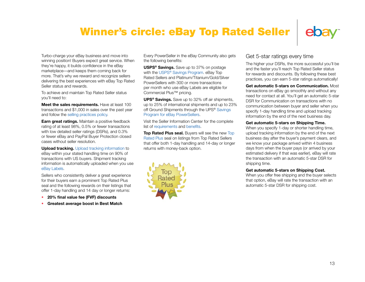### Winner's circle: eBay Top Rated Seller



<span id="page-12-0"></span>Turbo-charge your eBay business and move into winning position! Buyers expect great service. When they're happy, it builds confidence in the eBay marketplace—and keeps them coming back for more. That's why we reward and recognize sellers delivering the best experiences with eBay Top Rated Seller status and rewards.

To achieve and maintain Top Rated Seller status you'll need to:

**Meet the sales requirements.** Have at least 100 transactions and \$1,000 in sales over the past year and follow the [selling practices policy](http://pages.ebay.com/help/policies/selling-practices.html).

**Earn great ratings.** Maintain a positive feedback rating of at least 98%, 0.5% or fewer transactions with low detailed seller ratings (DSRs), and 0.3% or fewer eBay and PayPal Buyer Protection closed cases without seller resolution.

**Upload tracking.** [Upload tracking information](http://pages.ebay.com/help/pay/upload-tracking.html) to eBay within your stated handling time on 90% of transactions with US buyers. Shipment tracking information is automatically uploaded when you use [eBay Labels](http://pages.ebay.com/sellerinformation/shipping/ebaylabelsoverview.html).

Sellers who consistently deliver a great experience for their buyers earn a prominent Top Rated Plus seal and the following rewards on their listings that offer 1-day handling and 14 day or longer returns:

- **20% final value fee (FVF) discounts**
- **Greatest average boost in Best Match**

Every PowerSeller in the eBay Community also gets the following benefits:

**USPS® Savings.** Save up to 37% on postage with the USPS<sup>®</sup> Savings Program. eBay Top Rated Sellers and Platinum/Titanium/Gold/Silver PowerSellers with 300 or more transactions per month who use eBay Labels are eligible for Commercial Plus™ pricing.

**UPS® Savings.** Save up to 32% off air shipments, up to 25% of international shipments and up to 23% off Ground Shipments through the UPS<sup>®</sup> Savings [Program for eBay PowerSellers.](http://ebay.promotionexpert.com/carrierdiscount/index.html)

Visit the Seller Information Center for the complete list of [requirements](http://pages.ebay.com/sellerinformation/sellingresources/powerseller_requirements.html) and [benefits.](http://pages.ebay.com/sellerinformation/sellingresources/powerseller_benefits.html)

**Top Rated Plus seal.** Buyers will see the new Top [Rated Plus](http://pages.ebay.com/sellerinformation/news/fallupdate2012b/newetrsbadge.html) seal on listings from Top Rated Sellers that offer both 1-day handling and 14-day or longer returns with money-back option.



#### Get 5-star ratings every time

The higher your DSRs, the more successful you'll be and the faster you'll reach Top Rated Seller status for rewards and discounts. By following these best practices, you can earn 5-star ratings automatically!

**Get automatic 5-stars on Communication.** Most transactions on eBay go smoothly and without any need for contact at all. You'll get an automatic 5-star DSR for Communication on transactions with no communication between buyer and seller when you specify 1-day handling time and upload tracking information by the end of the next business day.

#### **Get automatic 5-stars on Shipping Time.**

When you specify 1-day or shorter handling time, upload tracking information by the end of the next business day after the buyer's payment clears, and we know your package arrived within 4 business days from when the buyer pays (or arrived by your estimated delivery if that was earlier), eBay will rate the transaction with an automatic 5-star DSR for shipping time.

#### **Get automatic 5-stars on Shipping Cost.**

When you offer free shipping and the buyer selects that option, eBay will rate the transaction with an automatic 5-star DSR for shipping cost.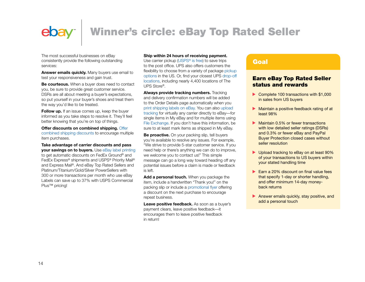# Winner's circle: eBay Top Rated Seller

The most successful businesses on eBay consistently provide the following outstanding services:

**Answer emails quickly.** Many buyers use email to test your responsiveness and gain trust.

**Be courteous.** When a buyer does need to contact you, be sure to provide great customer service. DSRs are all about meeting a buyer's expectations, so put yourself in your buyer's shoes and treat them the way you'd like to be treated.

**Follow up.** If an issue comes up, keep the buyer informed as you take steps to resolve it. They'll feel better knowing that you're on top of things.

**Offer discounts on combined shipping.** [Offer](http://pages.ebay.com/sellerinformation/shipping/resources/discounts.html)  [combined shipping discounts](http://pages.ebay.com/sellerinformation/shipping/resources/discounts.html) to encourage multiple item purchases.

**Take advantage of carrier discounts and pass your savings on to buyers.** Use [eBay label printing](http://pages.ebay.com/sellerinformation/shipping/ebaylabelsoverview.html) to get automatic discounts on FedEx Ground® and FedEx Express® shipments and USPS® Priority Mail® and Express Mail®. And eBay Top Rated Sellers and Platinum/Titanium/Gold/Silver PowerSellers with 300 or more transactions per month who use eBay Labels can save up to 37% with USPS Commercial Plus™ pricing!

#### **Ship within 24 hours of receiving payment.**

Use carrier pickup (USPS<sup>®</sup> is free) to save trips to the post office. UPS also offers customers the flexibility to choose from a variety of package pickup [options](http://www.ups.com/pickupoptions) in the US. Or, find your closest UPS [drop-off](http://www.ups.com/dropoff)  [locations](http://www.ups.com/dropoff), including nearly 4,400 locations of The UPS Store®.

**Always provide tracking numbers.** Tracking and delivery confirmation numbers will be added to the Order Details page automatically when you [print shipping labels on eBay](http://pages.ebay.com/sellerinformation/shipping/ebaylabelsoverview.html). You can also [upload](http://pages.ebay.com/help/pay/upload-tracking.html)  [tracking](http://pages.ebay.com/help/pay/upload-tracking.html) for virtually any carrier directly to eBay—for single items in My eBay and for multiple items using [File Exchange](http://pages.ebay.com/File_Exchange/). If you don't have this information, be sure to at least mark items as shipped in My eBay.

**Be proactive.** On your packing slip, tell buyers you're available to resolve any issues. For example, "We strive to provide 5-star customer service. If you need help or there's anything we can do to improve, we welcome you to contact us!" This simple message can go a long way toward heading off any potential issues before a claim is made or feedback is left.

Add a personal touch. When you package the item, include a handwritten "Thank you!" on the packing slip or include a [promotional flyer](http://pages.ebay.com/help/sell/promotional-flyer.html) offering a discount on the next purchase to encourage repeat business.

**Leave positive feedback.** As soon as a buyer's payment clears, leave positive feedback—it encourages them to leave positive feedback in return!

#### Goal

#### Earn eBay Top Rated Seller status and rewards

- Complete 100 transactions with \$1,000 in sales from US buyers
- Maintain a positive feedback rating of at least 98%
- **Maintain 0.5% or fewer transactions** with low detailed seller ratings (DSRs) and 0.3% or fewer eBay and PayPal Buyer Protection closed cases without seller resolution
- ▶ Upload tracking to eBay on at least 90% of your transactions to US buyers within your stated handling time
- $\blacktriangleright$  Farn a 20% discount on final value fees that specify 1-day or shorter handling, and offer minimum 14-day moneyback returns
- Answer emails quickly, stay positive, and add a personal touch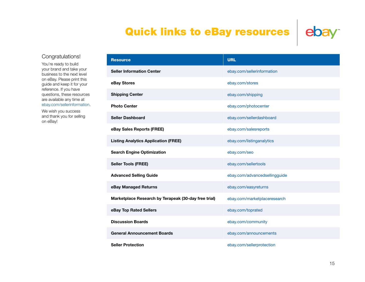### Quick links to eBay resources



#### Congratulations!

You're ready to build your brand and take your business to the next level on eBay. Please print this guide and keep it for your reference. If you have questions, these resources are available any time at [ebay.com/sellerinformation](http://ebay.com/sellerinformation).

We wish you success and thank you for selling on eBay!

| <b>Resource</b>                                      | <b>URL</b>                    |  |  |
|------------------------------------------------------|-------------------------------|--|--|
| <b>Seller Information Center</b>                     | ebay.com/sellerinformation    |  |  |
| eBay Stores                                          | ebay.com/stores               |  |  |
| <b>Shipping Center</b>                               | ebay.com/shipping             |  |  |
| <b>Photo Center</b>                                  | ebay.com/photocenter          |  |  |
| <b>Seller Dashboard</b>                              | ebay.com/sellerdashboard      |  |  |
| eBay Sales Reports (FREE)                            | ebay.com/salesreports         |  |  |
| <b>Listing Analytics Application (FREE)</b>          | ebay.com/listinganalytics     |  |  |
| <b>Search Engine Optimization</b>                    | ebay.com/seo                  |  |  |
| <b>Seller Tools (FREE)</b>                           | ebay.com/sellertools          |  |  |
| <b>Advanced Selling Guide</b>                        | ebay.com/advancedsellingguide |  |  |
| eBay Managed Returns                                 | ebay.com/easyreturns          |  |  |
| Marketplace Research by Terapeak (30-day free trial) | ebay.com/marketplaceresearch  |  |  |
| eBay Top Rated Sellers                               | ebay.com/toprated             |  |  |
| <b>Discussion Boards</b>                             | ebay.com/community            |  |  |
| <b>General Announcement Boards</b>                   | ebay.com/announcements        |  |  |
| <b>Seller Protection</b>                             | ebay.com/sellerprotection     |  |  |